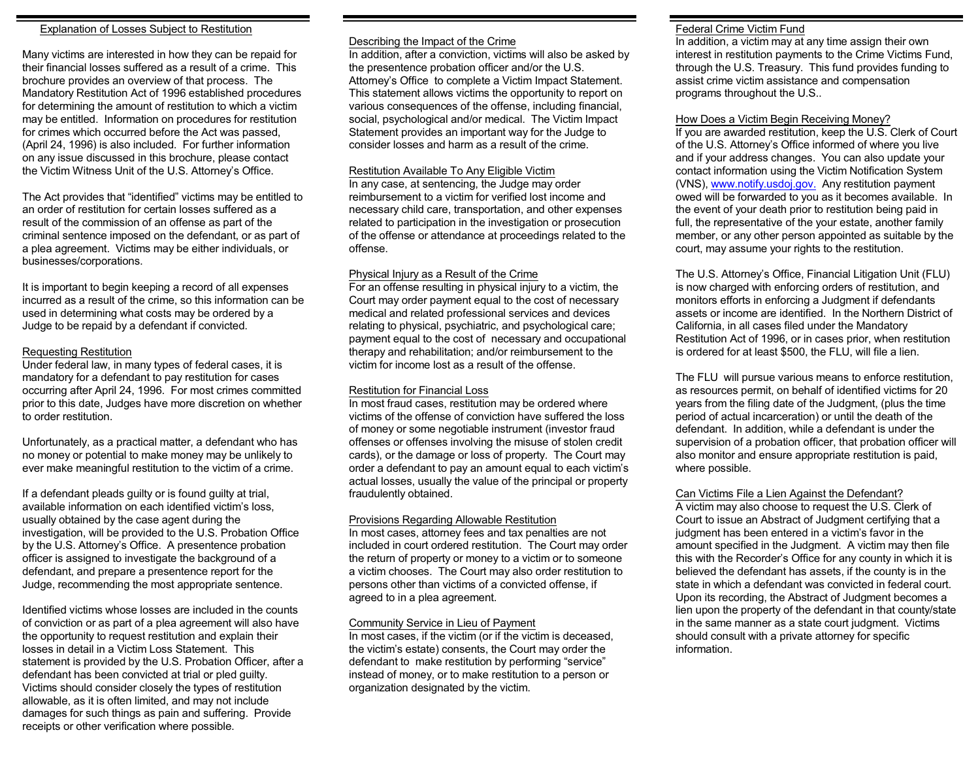#### Explanation of Losses Subject to Restitution

Many victims are interested in how they can be repaid for their financial losses suffered as a result of a crime. This brochure provides an overview of that process. The Mandatory Restitution Act of 1996 established procedures for determining the amount of restitution to which a victim may be entitled. Information on procedures for restitution for crimes which occurred before the Act was passed, (April 24, 1996) is also included. For further information on any issue discussed in this brochure, please contact the Victim Witness Unit of the U.S. Attorney's Office.

The Act provides that "identified" victims may be entitled to an order of restitution for certain losses suffered as a result of the commission of an offense as part of the criminal sentence imposed on the defendant, or as part of a plea agreement. Victims may be either individuals, or businesses/corporations.

It is important to begin keeping a record of all expenses incurred as a result of the crime, so this information can be used in determining what costs may be ordered by a Judge to be repaid by a defendant if convicted.

#### Requesting Restitution

Under federal law, in many types of federal cases, it is mandatory for a defendant to pay restitution for cases occurring after April 24, 1996. For most crimes committed prior to this date, Judges have more discretion on whether to order restitution.

Unfortunately, as a practical matter, a defendant who has no money or potential to make money may be unlikely to ever make meaningful restitution to the victim of a crime.

If a defendant pleads guilty or is found guilty at trial, available information on each identified victim's loss, usually obtained by the case agent during the investigation, will be provided to the U.S. Probation Office by the U.S. Attorney's Office. A presentence probation officer is assigned to investigate the background of a defendant, and prepare a presentence report for the Judge, recommending the most appropriate sentence.

Identified victims whose losses are included in the counts of conviction or as part of a plea agreement will also have the opportunity to request restitution and explain their losses in detail in a Victim Loss Statement. This statement is provided by the U.S. Probation Officer, after a defendant has been convicted at trial or pled guilty. Victims should consider closely the types of restitution allowable, as it is often limited, and may not include damages for such things as pain and suffering. Provide receipts or other verification where possible.

#### Describing the Impact of the Crime

In addition, after a conviction, victims will also be asked by the presentence probation officer and/or the U.S. Attorney's Office to complete a Victim Impact Statement. This statement allows victims the opportunity to report on various consequences of the offense, including financial, social, psychological and/or medical. The Victim Impact Statement provides an important way for the Judge to consider losses and harm as a result of the crime.

#### Restitution Available To Any Eligible Victim

In any case, at sentencing, the Judge may order reimbursement to a victim for verified lost income and necessary child care, transportation, and other expenses related to participation in the investigation or prosecution of the offense or attendance at proceedings related to the offense.

#### Physical Injury as a Result of the Crime

For an offense resulting in physical injury to a victim, the Court may order payment equal to the cost of necessary medical and related professional services and devices relating to physical, psychiatric, and psychological care; payment equal to the cost of necessary and occupational therapy and rehabilitation; and/or reimbursement to the victim for income lost as a result of the offense.

#### Restitution for Financial Loss

In most fraud cases, restitution may be ordered where victims of the offense of conviction have suffered the loss of money or some negotiable instrument (investor fraud offenses or offenses involving the misuse of stolen credit cards), or the damage or loss of property. The Court may order a defendant to pay an amount equal to each victim's actual losses, usually the value of the principal or property fraudulently obtained.

#### Provisions Regarding Allowable Restitution

In most cases, attorney fees and tax penalties are not included in court ordered restitution. The Court may order the return of property or money to a victim or to someone a victim chooses. The Court may also order restitution to persons other than victims of a convicted offense, if agreed to in a plea agreement.

#### Community Service in Lieu of Payment

In most cases, if the victim (or if the victim is deceased, the victim's estate) consents, the Court may order the defendant to make restitution by performing "service" instead of money, or to make restitution to a person or organization designated by the victim.

#### Federal Crime Victim Fund

In addition, a victim may at any time assign their own interest in restitution payments to the Crime Victims Fund, through the U.S. Treasury. This fund provides funding to assist crime victim assistance and compensation programs throughout the U.S..

#### How Does a Victim Begin Receiving Money?

If you are awarded restitution, keep the U.S. Clerk of Court of the U.S. Attorney's Office informed of where you live and if your address changes. You can also update your contact information using the Victim Notification System (VNS), [www.notify.usdoj.gov.](http://www.notify.usdoj.gov.) Any restitution payment owed will be forwarded to you as it becomes available. In the event of your death prior to restitution being paid in full, the representative of the your estate, another family member, or any other person appointed as suitable by the court, may assume your rights to the restitution.

The U.S. Attorney's Office, Financial Litigation Unit (FLU) is now charged with enforcing orders of restitution, and monitors efforts in enforcing a Judgment if defendants assets or income are identified. In the Northern District of California, in all cases filed under the Mandatory Restitution Act of 1996, or in cases prior, when restitution is ordered for at least \$500, the FLU, will file a lien.

The FLU will pursue various means to enforce restitution, as resources permit, on behalf of identified victims for 20 years from the filing date of the Judgment, (plus the time period of actual incarceration) or until the death of the defendant. In addition, while a defendant is under the supervision of a probation officer, that probation officer will also monitor and ensure appropriate restitution is paid, where possible.

#### Can Victims File a Lien Against the Defendant?

A victim may also choose to request the U.S. Clerk of Court to issue an Abstract of Judgment certifying that a judgment has been entered in a victim's favor in the amount specified in the Judgment. A victim may then file this with the Recorder's Office for any county in which it is believed the defendant has assets, if the county is in the state in which a defendant was convicted in federal court. Upon its recording, the Abstract of Judgment becomes a lien upon the property of the defendant in that county/state in the same manner as a state court judgment. Victims should consult with a private attorney for specific information.